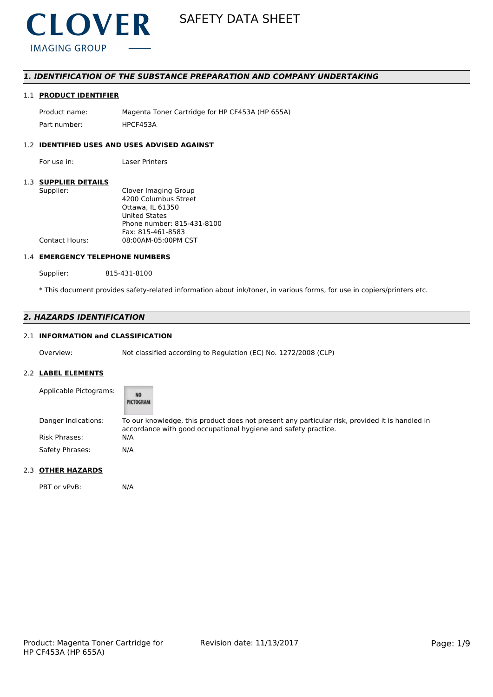

# *1. IDENTIFICATION OF THE SUBSTANCE PREPARATION AND COMPANY UNDERTAKING*

# 1.1 **PRODUCT IDENTIFIER**

Product name: Magenta Toner Cartridge for HP CF453A (HP 655A) Part number: HPCF453A

# 1.2 **IDENTIFIED USES AND USES ADVISED AGAINST**

For use in: Laser Printers

### 1.3 **SUPPLIER DETAILS**

| Supplier:             | Clover Imaging Group       |
|-----------------------|----------------------------|
|                       | 4200 Columbus Street       |
|                       | Ottawa, IL 61350           |
|                       | United States              |
|                       | Phone number: 815-431-8100 |
|                       | Fax: 815-461-8583          |
| <b>Contact Hours:</b> | 08:00AM-05:00PM CST        |
|                       |                            |

# 1.4 **EMERGENCY TELEPHONE NUMBERS**

Supplier: 815-431-8100

\* This document provides safety-related information about ink/toner, in various forms, for use in copiers/printers etc.

# *2. HAZARDS IDENTIFICATION*

# 2.1 **INFORMATION and CLASSIFICATION**

Overview: Not classified according to Regulation (EC) No. 1272/2008 (CLP)

### 2.2 **LABEL ELEMENTS**

| Applicable Pictograms: | <b>NO</b><br>PICTOGRAM                                                                                                                                           |
|------------------------|------------------------------------------------------------------------------------------------------------------------------------------------------------------|
| Danger Indications:    | To our knowledge, this product does not present any particular risk, provided it is handled in<br>accordance with good occupational hygiene and safety practice. |
| Risk Phrases:          | N/A                                                                                                                                                              |
| Safety Phrases:        | N/A                                                                                                                                                              |

# 2.3 **OTHER HAZARDS**

PBT or vPvB: N/A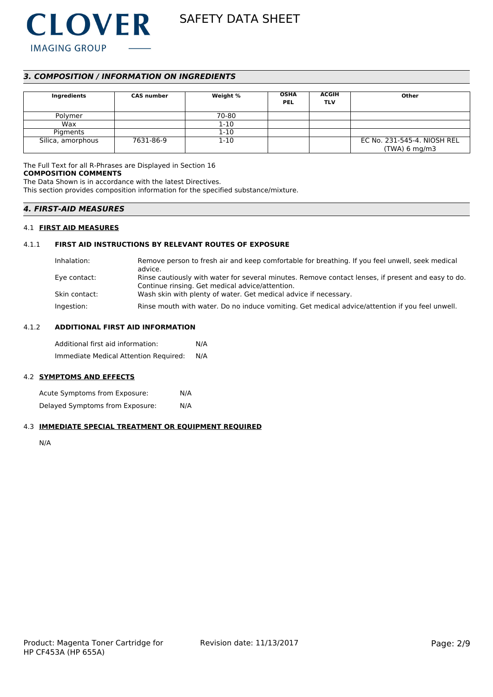

# *3. COMPOSITION / INFORMATION ON INGREDIENTS*

| Ingredients       | <b>CAS number</b> | Weight % | <b>OSHA</b><br><b>PEL</b> | <b>ACGIH</b><br><b>TLV</b> | Other                                          |
|-------------------|-------------------|----------|---------------------------|----------------------------|------------------------------------------------|
| Polymer           |                   | 70-80    |                           |                            |                                                |
| Wax               |                   | $1 - 10$ |                           |                            |                                                |
| Pigments          |                   | $1 - 10$ |                           |                            |                                                |
| Silica, amorphous | 7631-86-9         | $1 - 10$ |                           |                            | EC No. 231-545-4. NIOSH REL<br>$(TWA)$ 6 mg/m3 |

The Full Text for all R-Phrases are Displayed in Section 16 **COMPOSITION COMMENTS**

The Data Shown is in accordance with the latest Directives. This section provides composition information for the specified substance/mixture.

# *4. FIRST-AID MEASURES*

# 4.1 **FIRST AID MEASURES**

### 4.1.1 **FIRST AID INSTRUCTIONS BY RELEVANT ROUTES OF EXPOSURE**

| Inhalation:   | Remove person to fresh air and keep comfortable for breathing. If you feel unwell, seek medical<br>advice.                                            |
|---------------|-------------------------------------------------------------------------------------------------------------------------------------------------------|
| Eye contact:  | Rinse cautiously with water for several minutes. Remove contact lenses, if present and easy to do.<br>Continue rinsing. Get medical advice/attention. |
| Skin contact: | Wash skin with plenty of water. Get medical advice if necessary.                                                                                      |
| Ingestion:    | Rinse mouth with water. Do no induce vomiting. Get medical advice/attention if you feel unwell.                                                       |

#### 4.1.2 **ADDITIONAL FIRST AID INFORMATION**

Additional first aid information: N/A Immediate Medical Attention Required: N/A

# 4.2 **SYMPTOMS AND EFFECTS**

Acute Symptoms from Exposure: N/A Delayed Symptoms from Exposure: N/A

# 4.3 **IMMEDIATE SPECIAL TREATMENT OR EQUIPMENT REQUIRED**

N/A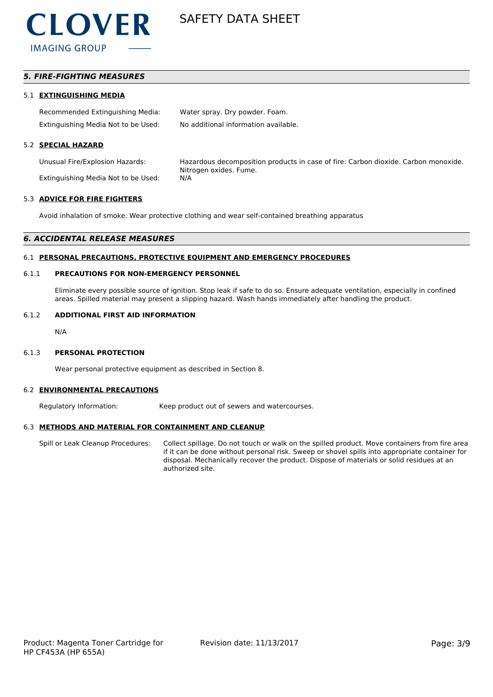

# *5. FIRE-FIGHTING MEASURES*

#### 5.1 **EXTINGUISHING MEDIA**

| Recommended Extinguishing Media:    | Water spray. Dry powder. Foam.       |
|-------------------------------------|--------------------------------------|
| Extinguishing Media Not to be Used: | No additional information available. |

### 5.2 **SPECIAL HAZARD**

Extinguishing Media Not to be Used: N/A

Unusual Fire/Explosion Hazards: Hazardous decomposition products in case of fire: Carbon dioxide. Carbon monoxide. Nitrogen oxides. Fume.

#### 5.3 **ADVICE FOR FIRE FIGHTERS**

Avoid inhalation of smoke. Wear protective clothing and wear self-contained breathing apparatus

#### *6. ACCIDENTAL RELEASE MEASURES*

#### 6.1 **PERSONAL PRECAUTIONS, PROTECTIVE EQUIPMENT AND EMERGENCY PROCEDURES**

#### 6.1.1 **PRECAUTIONS FOR NON-EMERGENCY PERSONNEL**

Eliminate every possible source of ignition. Stop leak if safe to do so. Ensure adequate ventilation, especially in confined areas. Spilled material may present a slipping hazard. Wash hands immediately after handling the product.

#### 6.1.2 **ADDITIONAL FIRST AID INFORMATION**

N/A

#### 6.1.3 **PERSONAL PROTECTION**

Wear personal protective equipment as described in Section 8.

#### 6.2 **ENVIRONMENTAL PRECAUTIONS**

Regulatory Information: Keep product out of sewers and watercourses.

#### 6.3 **METHODS AND MATERIAL FOR CONTAINMENT AND CLEANUP**

Spill or Leak Cleanup Procedures: Collect spillage. Do not touch or walk on the spilled product. Move containers from fire area if it can be done without personal risk. Sweep or shovel spills into appropriate container for disposal. Mechanically recover the product. Dispose of materials or solid residues at an authorized site.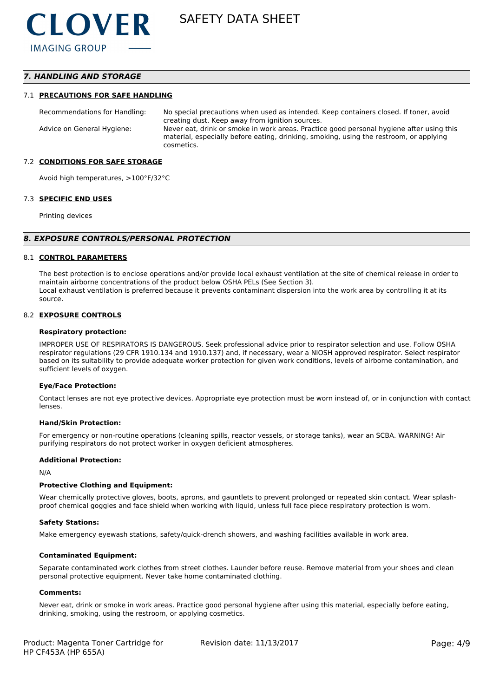# *7. HANDLING AND STORAGE*

#### 7.1 **PRECAUTIONS FOR SAFE HANDLING**

Recommendations for Handling: No special precautions when used as intended. Keep containers closed. If toner, avoid creating dust. Keep away from ignition sources. Advice on General Hygiene: Never eat, drink or smoke in work areas. Practice good personal hygiene after using this material, especially before eating, drinking, smoking, using the restroom, or applying cosmetics.

#### 7.2 **CONDITIONS FOR SAFE STORAGE**

Avoid high temperatures, >100°F/32°C

#### 7.3 **SPECIFIC END USES**

Printing devices

#### *8. EXPOSURE CONTROLS/PERSONAL PROTECTION*

#### 8.1 **CONTROL PARAMETERS**

The best protection is to enclose operations and/or provide local exhaust ventilation at the site of chemical release in order to maintain airborne concentrations of the product below OSHA PELs (See Section 3). Local exhaust ventilation is preferred because it prevents contaminant dispersion into the work area by controlling it at its source.

#### 8.2 **EXPOSURE CONTROLS**

#### **Respiratory protection:**

IMPROPER USE OF RESPIRATORS IS DANGEROUS. Seek professional advice prior to respirator selection and use. Follow OSHA respirator regulations (29 CFR 1910.134 and 1910.137) and, if necessary, wear a NIOSH approved respirator. Select respirator based on its suitability to provide adequate worker protection for given work conditions, levels of airborne contamination, and sufficient levels of oxygen.

#### **Eye/Face Protection:**

Contact lenses are not eye protective devices. Appropriate eye protection must be worn instead of, or in conjunction with contact lenses.

#### **Hand/Skin Protection:**

For emergency or non-routine operations (cleaning spills, reactor vessels, or storage tanks), wear an SCBA. WARNING! Air purifying respirators do not protect worker in oxygen deficient atmospheres.

### **Additional Protection:**

N/A

#### **Protective Clothing and Equipment:**

Wear chemically protective gloves, boots, aprons, and gauntlets to prevent prolonged or repeated skin contact. Wear splashproof chemical goggles and face shield when working with liquid, unless full face piece respiratory protection is worn.

#### **Safety Stations:**

Make emergency eyewash stations, safety/quick-drench showers, and washing facilities available in work area.

### **Contaminated Equipment:**

Separate contaminated work clothes from street clothes. Launder before reuse. Remove material from your shoes and clean personal protective equipment. Never take home contaminated clothing.

#### **Comments:**

Never eat, drink or smoke in work areas. Practice good personal hygiene after using this material, especially before eating, drinking, smoking, using the restroom, or applying cosmetics.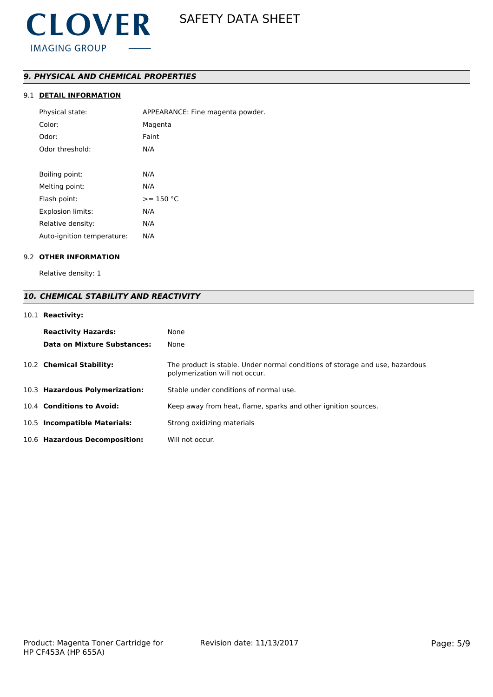# *9. PHYSICAL AND CHEMICAL PROPERTIES*

# 9.1 **DETAIL INFORMATION**

| Physical state:            | APPEARANCE: Fine magenta powder. |
|----------------------------|----------------------------------|
| Color:                     | Magenta                          |
| Odor:                      | Faint                            |
| Odor threshold:            | N/A                              |
|                            |                                  |
| Boiling point:             | N/A                              |
| Melting point:             | N/A                              |
| Flash point:               | $>= 150 °C$                      |
| <b>Explosion limits:</b>   | N/A                              |
| Relative density:          | N/A                              |
| Auto-ignition temperature: | N/A                              |

# 9.2 **OTHER INFORMATION**

Relative density: 1

# *10. CHEMICAL STABILITY AND REACTIVITY*

# 10.1 **Reactivity:**

| <b>Reactivity Hazards:</b><br>Data on Mixture Substances: | None<br>None                                                                                                   |
|-----------------------------------------------------------|----------------------------------------------------------------------------------------------------------------|
| 10.2 Chemical Stability:                                  | The product is stable. Under normal conditions of storage and use, hazardous<br>polymerization will not occur. |
| 10.3 Hazardous Polymerization:                            | Stable under conditions of normal use.                                                                         |
| 10.4 Conditions to Avoid:                                 | Keep away from heat, flame, sparks and other ignition sources.                                                 |
| 10.5 Incompatible Materials:                              | Strong oxidizing materials                                                                                     |
| 10.6 Hazardous Decomposition:                             | Will not occur.                                                                                                |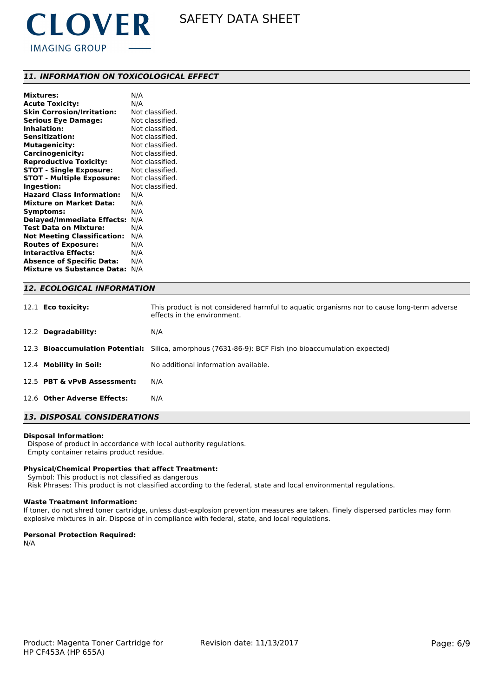

# *11. INFORMATION ON TOXICOLOGICAL EFFECT*

| <b>Mixtures:</b>                   | N/A             |
|------------------------------------|-----------------|
| <b>Acute Toxicity:</b>             | N/A             |
| <b>Skin Corrosion/Irritation:</b>  | Not classified. |
| <b>Serious Eye Damage:</b>         | Not classified. |
| <b>Inhalation:</b>                 | Not classified. |
| <b>Sensitization:</b>              | Not classified. |
| <b>Mutagenicity:</b>               | Not classified. |
| <b>Carcinogenicity:</b>            | Not classified. |
| <b>Reproductive Toxicity:</b>      | Not classified. |
| <b>STOT - Single Exposure:</b>     | Not classified. |
| <b>STOT - Multiple Exposure:</b>   | Not classified. |
| Ingestion:                         | Not classified. |
| <b>Hazard Class Information:</b>   | N/A             |
| <b>Mixture on Market Data:</b>     | N/A             |
| Symptoms:                          | N/A             |
| <b>Delayed/Immediate Effects:</b>  | N/A             |
| <b>Test Data on Mixture:</b>       | N/A             |
| <b>Not Meeting Classification:</b> | N/A             |
| <b>Routes of Exposure:</b>         | N/A             |
| <b>Interactive Effects:</b>        | N/A             |
| <b>Absence of Specific Data:</b>   | N/A             |
| <b>Mixture vs Substance Data:</b>  | N/A             |
|                                    |                 |

| <b>12. ECOLOGICAL INFORMATION</b> |                                                                                                                           |  |  |
|-----------------------------------|---------------------------------------------------------------------------------------------------------------------------|--|--|
| 12.1 <b>Eco toxicity:</b>         | This product is not considered harmful to aquatic organisms nor to cause long-term adverse<br>effects in the environment. |  |  |
| 12.2 Degradability:               | N/A                                                                                                                       |  |  |
|                                   | 12.3 <b>Bioaccumulation Potential:</b> Silica, amorphous (7631-86-9): BCF Fish (no bioaccumulation expected)              |  |  |
| 12.4 Mobility in Soil:            | No additional information available.                                                                                      |  |  |
| 12.5 PBT & vPvB Assessment:       | N/A                                                                                                                       |  |  |
| 12.6 Other Adverse Effects:       | N/A                                                                                                                       |  |  |

# *13. DISPOSAL CONSIDERATIONS*

#### **Disposal Information:**

 Dispose of product in accordance with local authority regulations. Empty container retains product residue.

## **Physical/Chemical Properties that affect Treatment:**

 Symbol: This product is not classified as dangerous Risk Phrases: This product is not classified according to the federal, state and local environmental regulations.

#### **Waste Treatment Information:**

If toner, do not shred toner cartridge, unless dust-explosion prevention measures are taken. Finely dispersed particles may form explosive mixtures in air. Dispose of in compliance with federal, state, and local regulations.

## **Personal Protection Required:**

N/A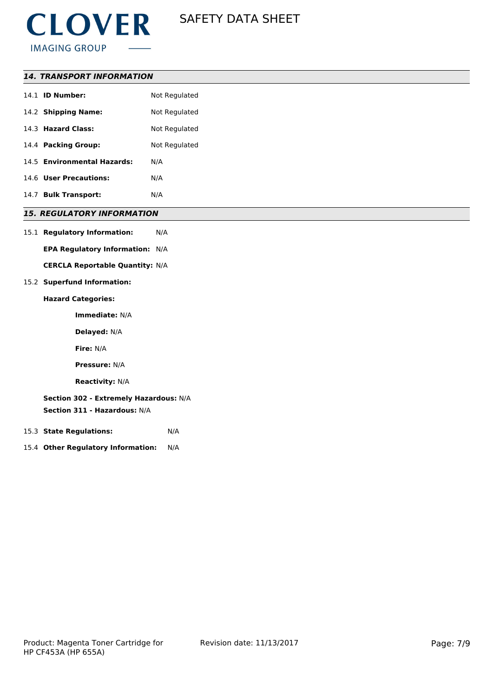

| <i><b>14. TRANSPORT INFORMATION</b></i> |
|-----------------------------------------|
|-----------------------------------------|

| 14.1 <b>ID Number:</b>                       | Not Regulated |
|----------------------------------------------|---------------|
| 14.2 Shipping Name:                          | Not Regulated |
| 14.3 Hazard Class:                           | Not Regulated |
| 14.4 Packing Group:                          | Not Regulated |
| 14.5 Environmental Hazards:                  | N/A           |
| 14.6 User Precautions:                       | N/A           |
| <b>Bulk Transport:</b><br>14.7               | N/A           |
| <b>DECULATODY INFODMATION</b><br>$T_{\rm c}$ |               |

# *15. REGULATORY INFORMATION*

15.1 **Regulatory Information:** N/A

**EPA Regulatory Information:** N/A

**CERCLA Reportable Quantity:** N/A

15.2 **Superfund Information:**

# **Hazard Categories:**

**Immediate:** N/A

**Delayed:** N/A

**Fire:** N/A

**Pressure:** N/A

**Reactivity:** N/A

**Section 302 - Extremely Hazardous:** N/A

**Section 311 - Hazardous:** N/A

- 15.3 **State Regulations:** N/A
- 15.4 **Other Regulatory Information:** N/A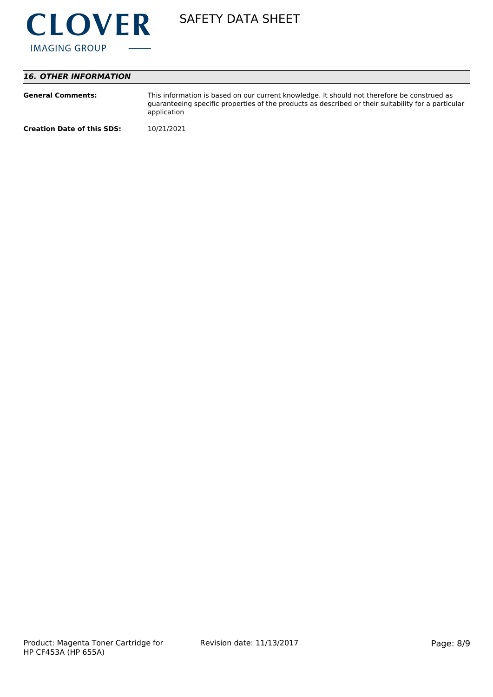

# *16. OTHER INFORMATION*

| <b>General Comments:</b>          | This information is based on our current knowledge. It should not therefore be construed as<br>guaranteeing specific properties of the products as described or their suitability for a particular<br>application |
|-----------------------------------|-------------------------------------------------------------------------------------------------------------------------------------------------------------------------------------------------------------------|
| <b>Creation Date of this SDS:</b> | 10/21/2021                                                                                                                                                                                                        |